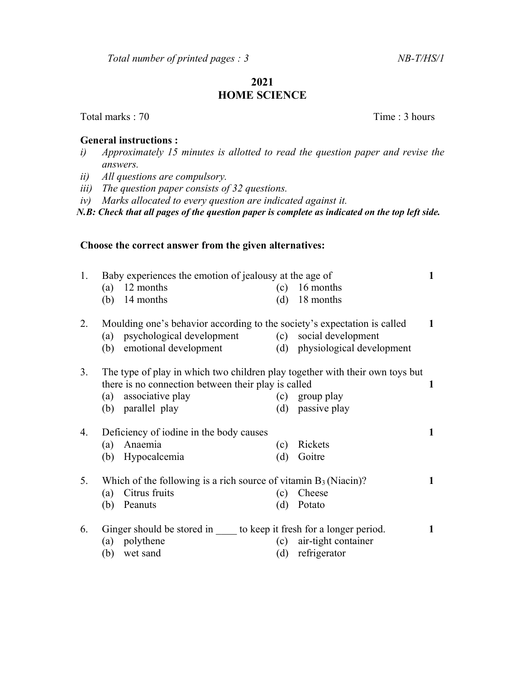## 2021 HOME SCIENCE

Total marks : 70 Time : 3 hours

## General instructions :

- i) Approximately 15 minutes is allotted to read the question paper and revise the answers.
- ii) All questions are compulsory.
- iii) The question paper consists of 32 questions.
- iv) Marks allocated to every question are indicated against it.

N.B: Check that all pages of the question paper is complete as indicated on the top left side.

## Choose the correct answer from the given alternatives:

| 1.                                                                       | Baby experiences the emotion of jealousy at the age of                       |                                                     |     |                               |   |
|--------------------------------------------------------------------------|------------------------------------------------------------------------------|-----------------------------------------------------|-----|-------------------------------|---|
|                                                                          | (a)                                                                          | 12 months                                           | (c) | 16 months                     |   |
|                                                                          | (b)                                                                          | 14 months                                           | (d) | 18 months                     |   |
| 2.                                                                       | Moulding one's behavior according to the society's expectation is called     |                                                     |     |                               |   |
|                                                                          |                                                                              | (a) psychological development                       | (c) | social development            |   |
|                                                                          | (b)                                                                          | emotional development                               |     | (d) physiological development |   |
| 3.                                                                       | The type of play in which two children play together with their own toys but |                                                     |     |                               |   |
|                                                                          |                                                                              | there is no connection between their play is called |     |                               | 1 |
|                                                                          | (a)                                                                          | associative play                                    | (c) | group play                    |   |
|                                                                          |                                                                              | (b) parallel play                                   | (d) | passive play                  |   |
| 4.<br>Deficiency of iodine in the body causes                            |                                                                              |                                                     |     |                               | 1 |
|                                                                          | (a)                                                                          | Anaemia                                             | (c) | Rickets                       |   |
|                                                                          | (b)                                                                          | Hypocalcemia                                        | (d) | Goitre                        |   |
| Which of the following is a rich source of vitamin $B_3$ (Niacin)?<br>5. |                                                                              |                                                     |     |                               | 1 |
|                                                                          | (a)                                                                          | Citrus fruits                                       | (c) | Cheese                        |   |
|                                                                          | (b)                                                                          | Peanuts                                             | (d) | Potato                        |   |
| 6.                                                                       | Ginger should be stored in to keep it fresh for a longer period.             |                                                     |     |                               |   |
|                                                                          | (a)                                                                          | polythene                                           | (c) | air-tight container           |   |
|                                                                          | (b)                                                                          | wet sand                                            | (d) | refrigerator                  |   |
|                                                                          |                                                                              |                                                     |     |                               |   |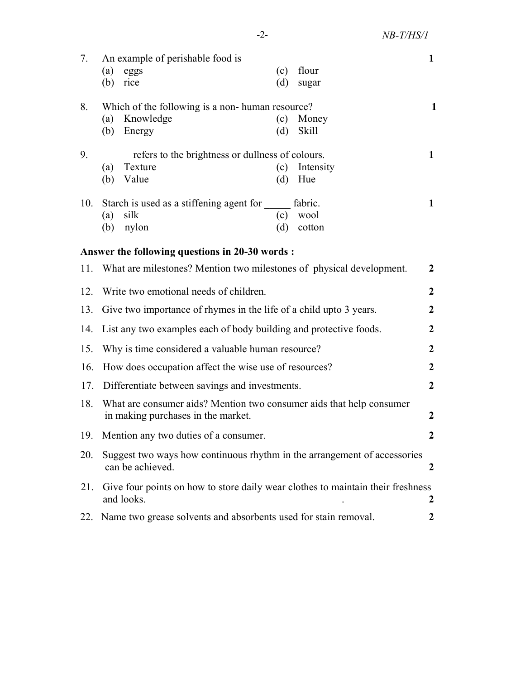| 7.  | An example of perishable food is                                                              |     |              | $\mathbf{1}$     |  |  |  |
|-----|-----------------------------------------------------------------------------------------------|-----|--------------|------------------|--|--|--|
|     | (a)<br>eggs                                                                                   | (c) | flour        |                  |  |  |  |
|     | $(b)$ rice                                                                                    | (d) | sugar        |                  |  |  |  |
| 8.  | Which of the following is a non-human resource?<br>1                                          |     |              |                  |  |  |  |
|     | Knowledge<br>(a)                                                                              | (c) | Money        |                  |  |  |  |
|     | (b) Energy                                                                                    | (d) | <b>Skill</b> |                  |  |  |  |
| 9.  | refers to the brightness or dullness of colours.<br>$\mathbf{1}$                              |     |              |                  |  |  |  |
|     | Texture<br>(a)                                                                                | (c) | Intensity    |                  |  |  |  |
|     | Value<br>(b)                                                                                  | (d) | Hue          |                  |  |  |  |
| 10. | Starch is used as a stiffening agent for                                                      |     | fabric.      | $\mathbf{1}$     |  |  |  |
|     | silk<br>(a)                                                                                   | (c) | wool         |                  |  |  |  |
|     | nylon<br>(b)                                                                                  | (d) | cotton       |                  |  |  |  |
|     | Answer the following questions in 20-30 words :                                               |     |              |                  |  |  |  |
| 11. | What are milestones? Mention two milestones of physical development.                          |     |              |                  |  |  |  |
|     | $\boldsymbol{2}$                                                                              |     |              |                  |  |  |  |
| 12. | Write two emotional needs of children.                                                        |     |              |                  |  |  |  |
| 13. | Give two importance of rhymes in the life of a child upto 3 years.                            |     |              |                  |  |  |  |
| 14. | List any two examples each of body building and protective foods.                             |     |              |                  |  |  |  |
| 15. | Why is time considered a valuable human resource?                                             |     |              |                  |  |  |  |
| 16. | How does occupation affect the wise use of resources?                                         |     |              |                  |  |  |  |
| 17. | Differentiate between savings and investments.                                                |     |              |                  |  |  |  |
| 18. | What are consumer aids? Mention two consumer aids that help consumer                          |     |              |                  |  |  |  |
|     | in making purchases in the market.                                                            |     |              | $\boldsymbol{2}$ |  |  |  |
|     | 19. Mention any two duties of a consumer.                                                     |     |              |                  |  |  |  |
| 20. | Suggest two ways how continuous rhythm in the arrangement of accessories<br>can be achieved.  |     |              |                  |  |  |  |
| 21. | Give four points on how to store daily wear clothes to maintain their freshness<br>and looks. |     |              |                  |  |  |  |
| 22. | Name two grease solvents and absorbents used for stain removal.                               |     |              |                  |  |  |  |